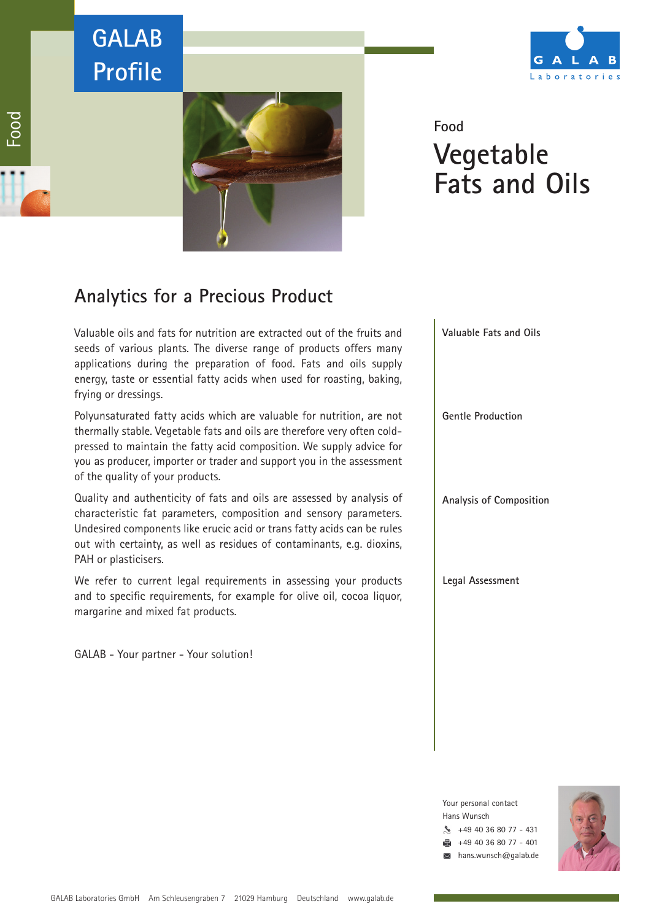# **GALAB Profile**





## **Food Vegetable Fats and Oils**

### **Analytics for a Precious Product**

Valuable oils and fats for nutrition are extracted out of the fruits and seeds of various plants. The diverse range of products offers many applications during the preparation of food. Fats and oils supply energy, taste or essential fatty acids when used for roasting, baking, frying or dressings.

Polyunsaturated fatty acids which are valuable for nutrition, are not thermally stable. Vegetable fats and oils are therefore very often coldpressed to maintain the fatty acid composition. We supply advice for you as producer, importer or trader and support you in the assessment of the quality of your products.

Quality and authenticity of fats and oils are assessed by analysis of characteristic fat parameters, composition and sensory parameters. Undesired components like erucic acid or trans fatty acids can be rules out with certainty, as well as residues of contaminants, e.g. dioxins, PAH or plasticisers.

We refer to current legal requirements in assessing your products and to specific requirements, for example for olive oil, cocoa liquor, margarine and mixed fat products.

GALAB - Your partner - Your solution!



Your personal contact Hans Wunsch  $\frac{1}{2}$  +49 40 36 80 77 - 431 +49 40 36 80 77 - 401 hans.wunsch@galab.de